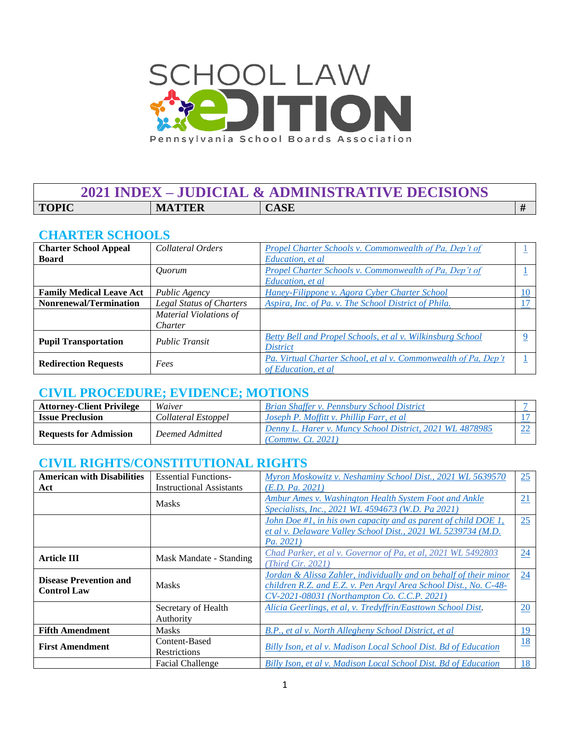

## **2021 INDEX – JUDICIAL & ADMINISTRATIVE DECISIONS TOPIC MATTER CASE #**

### **CHARTER SCHOOLS**

| <b>Charter School Appeal</b>    | Collateral Orders               | <b>Propel Charter Schools v. Commonwealth of Pa, Dep't of</b>                         |    |
|---------------------------------|---------------------------------|---------------------------------------------------------------------------------------|----|
| <b>Board</b>                    |                                 | Education, et al.                                                                     |    |
|                                 | Ouorum                          | Propel Charter Schools v. Commonwealth of Pa, Dep't of                                |    |
|                                 |                                 | Education, et al                                                                      |    |
| <b>Family Medical Leave Act</b> | Public Agency                   | Haney-Filippone v. Agora Cyber Charter School                                         | 10 |
| <b>Nonrenewal/Termination</b>   | <b>Legal Status of Charters</b> | Aspira, Inc. of Pa. v. The School District of Phila.                                  |    |
|                                 | Material Violations of          |                                                                                       |    |
|                                 | Charter                         |                                                                                       |    |
| <b>Pupil Transportation</b>     | <b>Public Transit</b>           | Betty Bell and Propel Schools, et al v. Wilkinsburg School<br><i>District</i>         |    |
| <b>Redirection Requests</b>     | Fees                            | Pa. Virtual Charter School, et al v. Commonwealth of Pa, Dep't<br>of Education, et al |    |

## **CIVIL PROCEDURE; EVIDENCE; MOTIONS**

| <b>Attorney-Client Privilege</b> | Waiver              | Brian Shaffer v. Pennsbury School District                                    |  |
|----------------------------------|---------------------|-------------------------------------------------------------------------------|--|
| <b>Issue Preclusion</b>          | Collateral Estoppel | Joseph P. Moffitt v. Phillip Farr, et al                                      |  |
| <b>Requests for Admission</b>    | Deemed Admitted     | Denny L. Harer v. Muncy School District, 2021 WL 4878985<br>(Commw. Ct. 2021) |  |

### **CIVIL RIGHTS/CONSTITUTIONAL RIGHTS**

| <b>American with Disabilities</b> | <b>Essential Functions-</b>     | Myron Moskowitz v. Neshaminy School Dist., 2021 WL 5639570        | 25 |
|-----------------------------------|---------------------------------|-------------------------------------------------------------------|----|
| Act                               | <b>Instructional Assistants</b> | (E.D. Pa. 2021)                                                   |    |
|                                   | <b>Masks</b>                    | Ambur Ames v. Washington Health System Foot and Ankle             | 21 |
|                                   |                                 | Specialists, Inc., 2021 WL 4594673 (W.D. Pa 2021)                 |    |
|                                   |                                 | John Doe #1, in his own capacity and as parent of child DOE 1,    | 25 |
|                                   |                                 | et al v. Delaware Valley School Dist., 2021 WL 5239734 (M.D.      |    |
|                                   |                                 | Pa. 2021                                                          |    |
|                                   |                                 | Chad Parker, et al v. Governor of Pa, et al, 2021 WL 5492803      | 24 |
| <b>Article III</b>                | Mask Mandate - Standing         | (Third Cir. 2021)                                                 |    |
| <b>Disease Prevention and</b>     |                                 | Jordan & Alissa Zahler, individually and on behalf of their minor | 24 |
|                                   | <b>Masks</b>                    | children R.Z. and E.Z. v. Pen Argyl Area School Dist., No. C-48-  |    |
| <b>Control Law</b>                |                                 | CV-2021-08031 (Northampton Co. C.C.P. 2021)                       |    |
|                                   | Secretary of Health             | Alicia Geerlings, et al, v. Tredyffrin/Easttown School Dist.      | 20 |
|                                   | Authority                       |                                                                   |    |
| <b>Fifth Amendment</b>            | <b>Masks</b>                    | B.P., et al v. North Allegheny School District, et al.            | 19 |
|                                   | Content-Based                   |                                                                   | 18 |
| <b>First Amendment</b>            | Restrictions                    | Billy Ison, et al v. Madison Local School Dist. Bd of Education   |    |
|                                   | <b>Facial Challenge</b>         | Billy Ison, et al v. Madison Local School Dist. Bd of Education   | 18 |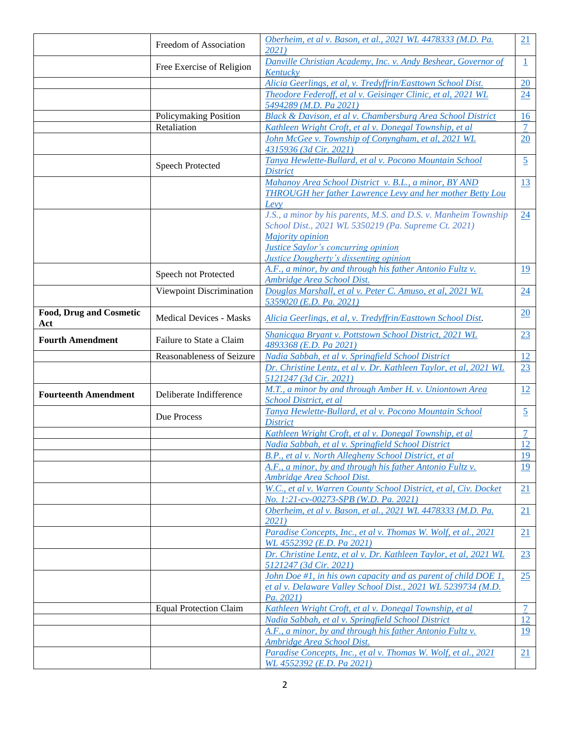|                                       |                                | Oberheim, et al v. Bason, et al., 2021 WL 4478333 (M.D. Pa.                                                                                                                                                                         | 21             |
|---------------------------------------|--------------------------------|-------------------------------------------------------------------------------------------------------------------------------------------------------------------------------------------------------------------------------------|----------------|
|                                       | Freedom of Association         | 2021                                                                                                                                                                                                                                |                |
|                                       | Free Exercise of Religion      | Danville Christian Academy, Inc. v. Andy Beshear, Governor of                                                                                                                                                                       | $\perp$        |
|                                       |                                | Kentucky                                                                                                                                                                                                                            |                |
|                                       |                                | Alicia Geerlings, et al, v. Tredyffrin/Easttown School Dist.                                                                                                                                                                        | 20             |
|                                       |                                | Theodore Federoff, et al v. Geisinger Clinic, et al, 2021 WL<br>5494289 (M.D. Pa 2021)                                                                                                                                              | 24             |
|                                       | Policymaking Position          | Black & Davison, et al v. Chambersburg Area School District                                                                                                                                                                         | 16             |
|                                       | Retaliation                    | Kathleen Wright Croft, et al v. Donegal Township, et al                                                                                                                                                                             | 7              |
|                                       |                                | John McGee v. Township of Conyngham, et al, 2021 WL                                                                                                                                                                                 | 20             |
|                                       |                                | 4315936 (3d Cir. 2021)                                                                                                                                                                                                              |                |
|                                       | <b>Speech Protected</b>        | Tanya Hewlette-Bullard, et al v. Pocono Mountain School                                                                                                                                                                             | $\overline{5}$ |
|                                       |                                | <b>District</b>                                                                                                                                                                                                                     |                |
|                                       |                                | Mahanoy Area School District v. B.L., a minor, BY AND<br>THROUGH her father Lawrence Levy and her mother Betty Lou<br>Levy                                                                                                          | 13             |
|                                       |                                | J.S., a minor by his parents, M.S. and D.S. v. Manheim Township<br>School Dist., 2021 WL 5350219 (Pa. Supreme Ct. 2021)<br>Majority opinion<br><b>Justice Saylor's concurring opinion</b><br>Justice Dougherty's dissenting opinion | 24             |
|                                       | Speech not Protected           | A.F., a minor, by and through his father Antonio Fultz v.<br>Ambridge Area School Dist.                                                                                                                                             | <u>19</u>      |
|                                       | Viewpoint Discrimination       | Douglas Marshall, et al v. Peter C. Amuso, et al, 2021 WL                                                                                                                                                                           | 24             |
|                                       |                                | 5359020 (E.D. Pa. 2021)                                                                                                                                                                                                             |                |
| <b>Food, Drug and Cosmetic</b><br>Act | <b>Medical Devices - Masks</b> | Alicia Geerlings, et al, v. Tredyffrin/Easttown School Dist.                                                                                                                                                                        | 20             |
| <b>Fourth Amendment</b>               | Failure to State a Claim       | Shanicqua Bryant v. Pottstown School District, 2021 WL<br>4893368 (E.D. Pa 2021)                                                                                                                                                    | 23             |
|                                       | Reasonableness of Seizure      | Nadia Sabbah, et al v. Springfield School District                                                                                                                                                                                  | 12             |
|                                       |                                | Dr. Christine Lentz, et al v. Dr. Kathleen Taylor, et al, 2021 WL<br>5121247 (3d Cir. 2021)                                                                                                                                         | 23             |
| <b>Fourteenth Amendment</b>           | Deliberate Indifference        | M.T., a minor by and through Amber H. v. Uniontown Area<br>School District, et al                                                                                                                                                   | 12             |
|                                       | Due Process                    | Tanya Hewlette-Bullard, et al v. Pocono Mountain School<br><b>District</b>                                                                                                                                                          | $\overline{5}$ |
|                                       |                                | Kathleen Wright Croft, et al v. Donegal Township, et al                                                                                                                                                                             | 7              |
|                                       |                                | Nadia Sabbah, et al v. Springfield School District                                                                                                                                                                                  | 12             |
|                                       |                                | B.P., et al v. North Allegheny School District, et al                                                                                                                                                                               | 19             |
|                                       |                                | A.F., a minor, by and through his father Antonio Fultz v.<br>Ambridge Area School Dist.                                                                                                                                             | 19             |
|                                       |                                | W.C., et al v. Warren County School District, et al, Civ. Docket<br>No. 1:21-cv-00273-SPB (W.D. Pa. 2021)                                                                                                                           | 21             |
|                                       |                                | Oberheim, et al v. Bason, et al., 2021 WL 4478333 (M.D. Pa.<br>2021)                                                                                                                                                                | 21             |
|                                       |                                | Paradise Concepts, Inc., et al v. Thomas W. Wolf, et al., 2021<br>WL 4552392 (E.D. Pa 2021)                                                                                                                                         | 21             |
|                                       |                                | Dr. Christine Lentz, et al v. Dr. Kathleen Taylor, et al, 2021 WL<br>5121247 (3d Cir. 2021)                                                                                                                                         | 23             |
|                                       |                                | John Doe #1, in his own capacity and as parent of child DOE 1,<br>et al v. Delaware Valley School Dist., 2021 WL 5239734 (M.D.<br>Pa. 2021)                                                                                         | 25             |
|                                       | <b>Equal Protection Claim</b>  | Kathleen Wright Croft, et al v. Donegal Township, et al                                                                                                                                                                             | $\overline{7}$ |
|                                       |                                | <u>Nadia Sabbah, et al v. Springfield School District</u>                                                                                                                                                                           | <u>12</u>      |
|                                       |                                | A.F., a minor, by and through his father Antonio Fultz v.                                                                                                                                                                           | <u>19</u>      |
|                                       |                                | Ambridge Area School Dist.                                                                                                                                                                                                          |                |
|                                       |                                | Paradise Concepts, Inc., et al v. Thomas W. Wolf, et al., 2021<br>WL 4552392 (E.D. Pa 2021)                                                                                                                                         | 21             |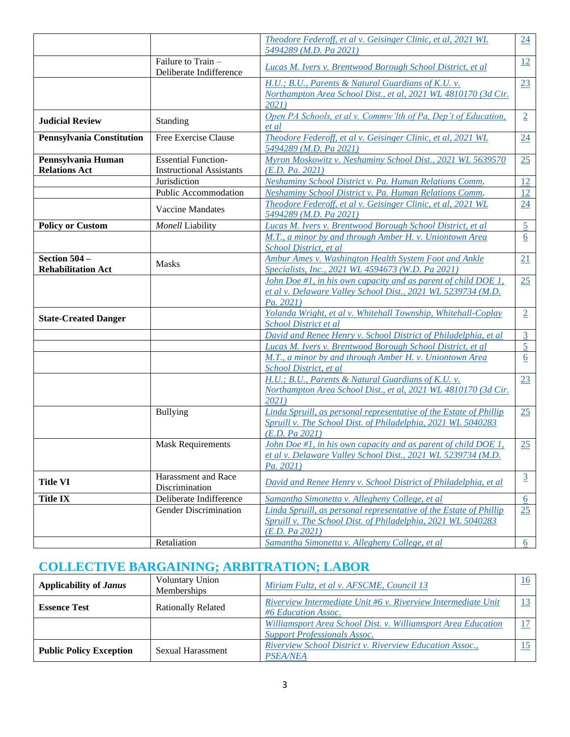|                                             |                                                               | Theodore Federoff, et al v. Geisinger Clinic, et al, 2021 WL<br>5494289 (M.D. Pa 2021)                                                               | 24               |
|---------------------------------------------|---------------------------------------------------------------|------------------------------------------------------------------------------------------------------------------------------------------------------|------------------|
|                                             | Failure to Train -<br>Deliberate Indifference                 | Lucas M. Ivers v. Brentwood Borough School District, et al                                                                                           | 12               |
|                                             |                                                               | H.U.; B.U., Parents & Natural Guardians of K.U. v.<br>Northampton Area School Dist., et al, 2021 WL 4810170 (3d Cir.<br>2021)                        | 23               |
| <b>Judicial Review</b>                      | Standing                                                      | Open PA Schools, et al v. Commw'lth of Pa, Dep't of Education,<br>et al                                                                              | $\overline{2}$   |
| <b>Pennsylvania Constitution</b>            | Free Exercise Clause                                          | Theodore Federoff, et al v. Geisinger Clinic, et al, 2021 WL<br>5494289 (M.D. Pa 2021)                                                               | 24               |
| Pennsylvania Human<br><b>Relations Act</b>  | <b>Essential Function-</b><br><b>Instructional Assistants</b> | Myron Moskowitz v. Neshaminy School Dist., 2021 WL 5639570<br>(E.D. Pa. 2021)                                                                        | 25               |
|                                             | Jurisdiction                                                  | Neshaminy School District v. Pa. Human Relations Comm.                                                                                               | 12               |
|                                             | Public Accommodation                                          | Neshaminy School District v. Pa. Human Relations Comm.                                                                                               | 12               |
|                                             | <b>Vaccine Mandates</b>                                       | Theodore Federoff, et al v. Geisinger Clinic, et al, 2021 WL<br>5494289 (M.D. Pa 2021)                                                               | 24               |
| <b>Policy or Custom</b>                     | Monell Liability                                              | Lucas M. Ivers v. Brentwood Borough School District, et al.                                                                                          | 5 <sup>5</sup>   |
|                                             |                                                               | M.T., a minor by and through Amber H. v. Uniontown Area<br>School District, et al.                                                                   | 6                |
| Section $504-$<br><b>Rehabilitation Act</b> | <b>Masks</b>                                                  | Ambur Ames v. Washington Health System Foot and Ankle<br>Specialists, Inc., 2021 WL 4594673 (W.D. Pa 2021)                                           | 21               |
|                                             |                                                               | John Doe #1, in his own capacity and as parent of child DOE $1$ ,<br>et al v. Delaware Valley School Dist., 2021 WL 5239734 (M.D.<br>Pa. 2021)       | 25               |
| <b>State-Created Danger</b>                 |                                                               | Yolanda Wright, et al v. Whitehall Township, Whitehall-Coplay<br>School District et al                                                               | $\overline{2}$   |
|                                             |                                                               | David and Renee Henry v. School District of Philadelphia, et al                                                                                      | $\overline{3}$   |
|                                             |                                                               | Lucas M. Ivers v. Brentwood Borough School District, et al                                                                                           | 5                |
|                                             |                                                               | M.T., a minor by and through Amber H. v. Uniontown Area<br>School District, et al                                                                    | $\underline{6}$  |
|                                             |                                                               | H.U.; B.U., Parents & Natural Guardians of K.U. v.<br>Northampton Area School Dist., et al, 2021 WL 4810170 (3d Cir.<br>2021)                        | 23               |
|                                             | <b>Bullying</b>                                               | Linda Spruill, as personal representative of the Estate of Phillip<br>Spruill v. The School Dist. of Philadelphia, 2021 WL 5040283<br>(E.D. Pa 2021) | 25               |
|                                             | <b>Mask Requirements</b>                                      | John Doe #1, in his own capacity and as parent of child DOE 1,<br>et al v. Delaware Valley School Dist., 2021 WL 5239734 (M.D.<br>Pa. 2021)          | 25               |
| <b>Title VI</b>                             | Harassment and Race<br>Discrimination                         | David and Renee Henry v. School District of Philadelphia, et al                                                                                      | $\overline{3}$   |
| <b>Title IX</b>                             | Deliberate Indifference                                       | Samantha Simonetta v. Allegheny College, et al.                                                                                                      | 6                |
|                                             | Gender Discrimination                                         | Linda Spruill, as personal representative of the Estate of Phillip<br>Spruill v. The School Dist. of Philadelphia, 2021 WL 5040283<br>(E.D. Pa 2021) | 25               |
|                                             | Retaliation                                                   | Samantha Simonetta v. Allegheny College, et al.                                                                                                      | $6 \overline{6}$ |
|                                             |                                                               |                                                                                                                                                      |                  |

# **COLLECTIVE BARGAINING; ARBITRATION; LABOR**

| Applicability of <i>Janus</i>  | <b>Voluntary Union</b><br>Memberships | Miriam Fultz, et al v. AFSCME, Council 13                                                            | 16 |
|--------------------------------|---------------------------------------|------------------------------------------------------------------------------------------------------|----|
| <b>Essence Test</b>            | <b>Rationally Related</b>             | Riverview Intermediate Unit #6 v. Riverview Intermediate Unit<br>#6 Education Assoc.                 |    |
|                                |                                       | Williamsport Area School Dist. v. Williamsport Area Education<br><b>Support Professionals Assoc.</b> |    |
| <b>Public Policy Exception</b> | Sexual Harassment                     | Riverview School District v. Riverview Education Assoc.,<br><b>PSEA/NEA</b>                          |    |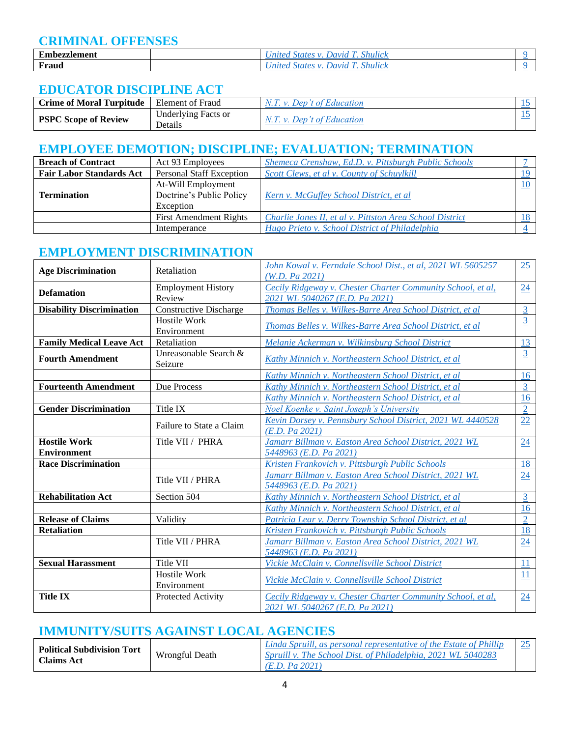### **CRIMINAL OFFENSES**

| $\blacksquare$<br>°zzlement<br>Embezz | <i>Shulick</i><br>. Iar<br>10 (<br>$\overline{\nu}$ |  |
|---------------------------------------|-----------------------------------------------------|--|
| Fraud                                 | <i>Shultck</i><br>. Iar<br>10 (<br>,,,,             |  |

### **EDUCATOR DISCIPLINE ACT**

| <b>Crime of Moral Turpitude</b> | Element of Fraud    | N.T. v. Dep't of Education   |  |
|---------------------------------|---------------------|------------------------------|--|
| <b>PSPC Scope of Review</b>     | Underlying Facts or | $N.T. v.$ Dep't of Education |  |
|                                 | Details             |                              |  |

### **EMPLOYEE DEMOTION; DISCIPLINE; EVALUATION; TERMINATION**

| <b>Breach of Contract</b>       | Act 93 Employees                | Shemeca Crenshaw, Ed.D. v. Pittsburgh Public Schools     |    |
|---------------------------------|---------------------------------|----------------------------------------------------------|----|
| <b>Fair Labor Standards Act</b> | <b>Personal Staff Exception</b> | Scott Clews, et al v. County of Schuylkill               | 19 |
|                                 | At-Will Employment              |                                                          |    |
| <b>Termination</b>              | Doctrine's Public Policy        | Kern v. McGuffey School District, et al                  |    |
|                                 | Exception                       |                                                          |    |
|                                 | <b>First Amendment Rights</b>   | Charlie Jones II, et al v. Pittston Area School District |    |
|                                 | Intemperance                    | Hugo Prieto v. School District of Philadelphia           |    |

### **EMPLOYMENT DISCRIMINATION**

| <b>Age Discrimination</b>        | Retaliation                         | John Kowal v. Ferndale School Dist., et al, 2021 WL 5605257<br>(W.D. Pa 2021)                 | 25             |
|----------------------------------|-------------------------------------|-----------------------------------------------------------------------------------------------|----------------|
| <b>Defamation</b>                | <b>Employment History</b><br>Review | Cecily Ridgeway v. Chester Charter Community School, et al,<br>2021 WL 5040267 (E.D. Pa 2021) | 24             |
| <b>Disability Discrimination</b> | <b>Constructive Discharge</b>       | Thomas Belles v. Wilkes-Barre Area School District, et al                                     | 3              |
|                                  | <b>Hostile Work</b><br>Environment  | Thomas Belles v. Wilkes-Barre Area School District, et al                                     | $\overline{3}$ |
| <b>Family Medical Leave Act</b>  | Retaliation                         | Melanie Ackerman v. Wilkinsburg School District                                               | 13             |
| <b>Fourth Amendment</b>          | Unreasonable Search &<br>Seizure    | Kathy Minnich v. Northeastern School District, et al                                          | $\overline{3}$ |
|                                  |                                     | Kathy Minnich v. Northeastern School District, et al.                                         | <u>16</u>      |
| <b>Fourteenth Amendment</b>      | Due Process                         | Kathy Minnich v. Northeastern School District, et al                                          | $\overline{3}$ |
|                                  |                                     | Kathy Minnich v. Northeastern School District, et al                                          | 16             |
| <b>Gender Discrimination</b>     | Title IX                            | <b>Noel Koenke v. Saint Joseph's University</b>                                               | $\overline{2}$ |
|                                  | Failure to State a Claim            | Kevin Dorsey v. Pennsbury School District, 2021 WL 4440528<br>(E.D. Pa 2021)                  | 22             |
|                                  |                                     |                                                                                               |                |
| <b>Hostile Work</b>              | Title VII / PHRA                    | Jamarr Billman v. Easton Area School District, 2021 WL                                        | 24             |
| <b>Environment</b>               |                                     | 5448963 (E.D. Pa 2021)                                                                        |                |
| <b>Race Discrimination</b>       |                                     | Kristen Frankovich v. Pittsburgh Public Schools                                               | 18             |
|                                  | Title VII / PHRA                    | Jamarr Billman v. Easton Area School District, 2021 WL<br>5448963 (E.D. Pa 2021)              | 24             |
| <b>Rehabilitation Act</b>        | Section 504                         | Kathy Minnich v. Northeastern School District, et al                                          | $\overline{3}$ |
|                                  |                                     | Kathy Minnich v. Northeastern School District, et al                                          | 16             |
| <b>Release of Claims</b>         | Validity                            | Patricia Lear v. Derry Township School District, et al                                        | $\overline{2}$ |
| <b>Retaliation</b>               |                                     | Kristen Frankovich v. Pittsburgh Public Schools                                               | 18             |
|                                  | Title VII / PHRA                    | Jamarr Billman v. Easton Area School District, 2021 WL                                        | 24             |
|                                  |                                     | 5448963 (E.D. Pa 2021)                                                                        |                |
| <b>Sexual Harassment</b>         | Title VII                           | Vickie McClain v. Connellsville School District                                               | 11             |
|                                  | <b>Hostile Work</b><br>Environment  | Vickie McClain v. Connellsville School District                                               | 11             |

## **IMMUNITY/SUITS AGAINST LOCAL AGENCIES**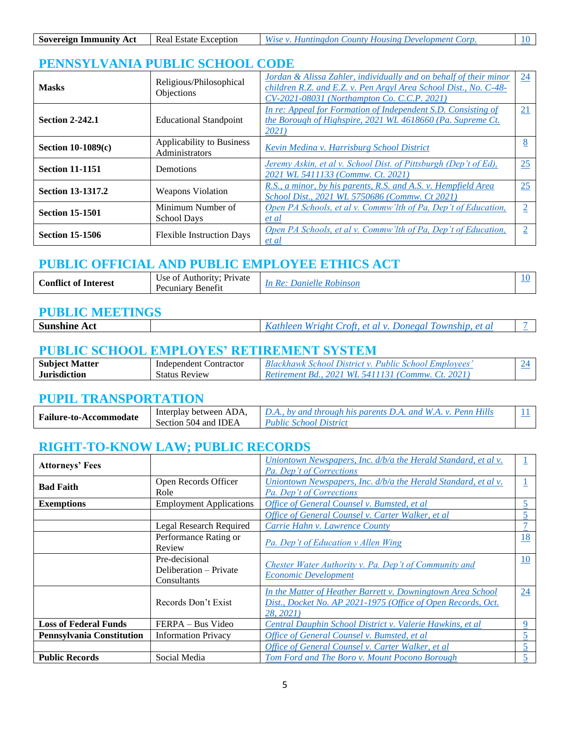| <b>Sovereign Immunity Act</b> | Real Estate Exception | Wise v. Huntingdon County Housing Development Corp. |  |
|-------------------------------|-----------------------|-----------------------------------------------------|--|

# **PENNSYLVANIA PUBLIC SCHOOL CODE**

| <b>Masks</b>             | Religious/Philosophical<br>Objections       | Jordan & Alissa Zahler, individually and on behalf of their minor<br>children R.Z. and E.Z. v. Pen Argyl Area School Dist., No. C-48-<br>CV-2021-08031 (Northampton Co. C.C.P. 2021) | 24              |
|--------------------------|---------------------------------------------|--------------------------------------------------------------------------------------------------------------------------------------------------------------------------------------|-----------------|
| <b>Section 2-242.1</b>   | <b>Educational Standpoint</b>               | In re: Appeal for Formation of Independent S.D. Consisting of<br>the Borough of Highspire, 2021 WL 4618660 (Pa. Supreme Ct.<br>2021)                                                 | $\overline{21}$ |
| Section $10-1089(c)$     | Applicability to Business<br>Administrators | Kevin Medina v. Harrisburg School District                                                                                                                                           | ∩               |
| <b>Section 11-1151</b>   | <b>Demotions</b>                            | Jeremy Askin, et al v. School Dist. of Pittsburgh (Dep't of Ed),<br>2021 WL 5411133 (Commw. Ct. 2021)                                                                                | 25              |
| <b>Section 13-1317.2</b> | <b>Weapons Violation</b>                    | R.S., a minor, by his parents, R.S. and A.S. v. Hempfield Area<br>School Dist., 2021 WL 5750686 (Commw. Ct 2021)                                                                     | 25              |
| <b>Section 15-1501</b>   | Minimum Number of<br><b>School Days</b>     | Open PA Schools, et al v. Commw'lth of Pa, Dep't of Education,<br>et al                                                                                                              | 2               |
| <b>Section 15-1506</b>   | <b>Flexible Instruction Days</b>            | Open PA Schools, et al v. Commw'lth of Pa, Dep't of Education,<br>et al                                                                                                              |                 |

#### **PUBLIC OFFICIAL AND PUBLIC EMPLOYEE ETHICS ACT**

| <b>Conflict</b><br>$\sim$<br><b>Interest</b><br>. ot | Authority <sup>.</sup><br>Private<br>Jse of<br>$^{\prime}$<br>Pecuniary<br>Benefit | Ro.<br>. Ianiol' |  |
|------------------------------------------------------|------------------------------------------------------------------------------------|------------------|--|
|                                                      |                                                                                    |                  |  |

#### **PUBLIC MEETINGS**

| <b>Sunsh</b><br>A Ct |  |  |
|----------------------|--|--|
|                      |  |  |

#### **PUBLIC SCHOOL EMPLOYES' RETIREMENT SYSTEM**

| <b>Subject Matter</b> | Independent Contractor | <sup>1</sup> Blackhawk School District v. Public School Employees' |  |
|-----------------------|------------------------|--------------------------------------------------------------------|--|
| <b>Jurisdiction</b>   | <b>Status Review</b>   | Retirement Bd., 2021 WL 5411131 (Commw. Ct. 2021)                  |  |

#### **PUPIL TRANSPORTATION**

| <b>Failure-to-Accommodate</b> | Interplay between ADA, | <i>D.A., by and through his parents D.A. and W.A. v. Penn Hills</i> |  |
|-------------------------------|------------------------|---------------------------------------------------------------------|--|
|                               | Section 504 and IDEA   | Public School District                                              |  |

## **RIGHT-TO-KNOW LAW; PUBLIC RECORDS**

| <b>Attorneys' Fees</b>           |                                                         | Uniontown Newspapers, Inc. d/b/a the Herald Standard, et al v.<br>Pa. Dep't of Corrections                                               |           |
|----------------------------------|---------------------------------------------------------|------------------------------------------------------------------------------------------------------------------------------------------|-----------|
| <b>Bad Faith</b>                 | Open Records Officer<br>Role                            | Uniontown Newspapers, Inc. d/b/a the Herald Standard, et al v.<br>Pa. Dep't of Corrections                                               |           |
| <b>Exemptions</b>                | <b>Employment Applications</b>                          | Office of General Counsel v. Bumsted, et al                                                                                              |           |
|                                  |                                                         | Office of General Counsel v. Carter Walker, et al                                                                                        | C         |
|                                  | Legal Research Required                                 | Carrie Hahn v. Lawrence County                                                                                                           |           |
|                                  | Performance Rating or<br>Review                         | Pa. Dep't of Education v Allen Wing                                                                                                      | 18        |
|                                  | Pre-decisional<br>Deliberation – Private<br>Consultants | Chester Water Authority v. Pa. Dep't of Community and<br><i>Economic Development</i>                                                     | <u>10</u> |
|                                  | Records Don't Exist                                     | In the Matter of Heather Barrett v. Downingtown Area School<br>Dist., Docket No. AP 2021-1975 (Office of Open Records, Oct.<br>28. 2021) | 24        |
| <b>Loss of Federal Funds</b>     | FERPA – Bus Video                                       | Central Dauphin School District v. Valerie Hawkins, et al.                                                                               | 9         |
| <b>Pennsylvania Constitution</b> | <b>Information Privacy</b>                              | Office of General Counsel v. Bumsted, et al                                                                                              |           |
|                                  |                                                         | Office of General Counsel v. Carter Walker, et al.                                                                                       |           |
| <b>Public Records</b>            | Social Media                                            | Tom Ford and The Boro v. Mount Pocono Borough                                                                                            |           |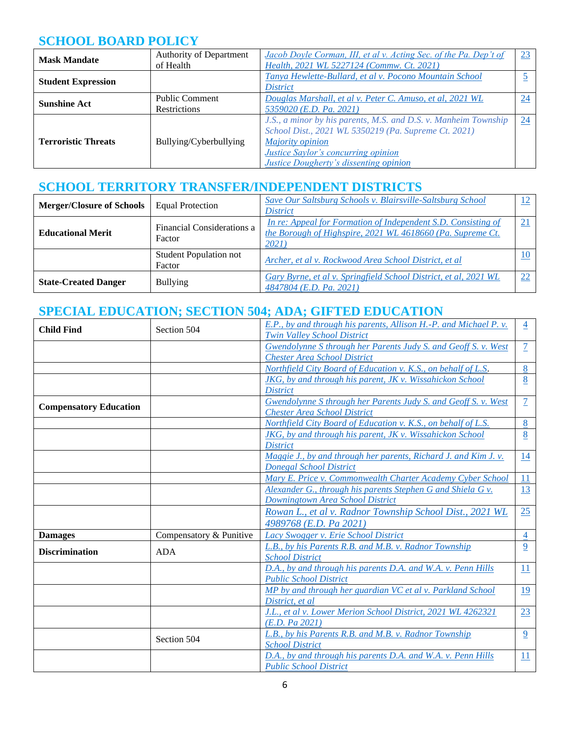## **SCHOOL BOARD POLICY**

| <b>Mask Mandate</b>        | Authority of Department | Jacob Doyle Corman, III, et al v. Acting Sec. of the Pa. Dep't of | 23              |
|----------------------------|-------------------------|-------------------------------------------------------------------|-----------------|
|                            | of Health               | Health, 2021 WL 5227124 (Commw. Ct. 2021)                         |                 |
| <b>Student Expression</b>  |                         | Tanya Hewlette-Bullard, et al v. Pocono Mountain School           |                 |
|                            |                         | <i>District</i>                                                   |                 |
| <b>Sunshine Act</b>        | <b>Public Comment</b>   | Douglas Marshall, et al v. Peter C. Amuso, et al, 2021 WL         | $\overline{24}$ |
|                            | <b>Restrictions</b>     | 5359020 (E.D. Pa. 2021)                                           |                 |
|                            |                         | J.S., a minor by his parents, M.S. and D.S. v. Manheim Township   | 24              |
|                            |                         | School Dist., 2021 WL 5350219 (Pa. Supreme Ct. 2021)              |                 |
| <b>Terroristic Threats</b> | Bullying/Cyberbullying  | <b>Majority opinion</b>                                           |                 |
|                            |                         | <b>Justice Saylor's concurring opinion</b>                        |                 |
|                            |                         | <b>Justice Dougherty's dissenting opinion</b>                     |                 |

## **SCHOOL TERRITORY TRANSFER/INDEPENDENT DISTRICTS**

| <b>Merger/Closure of Schools</b> | <b>Equal Protection</b>                 | Save Our Saltsburg Schools v. Blairsville-Saltsburg School<br><i>District</i>                                                        |    |
|----------------------------------|-----------------------------------------|--------------------------------------------------------------------------------------------------------------------------------------|----|
| <b>Educational Merit</b>         | Financial Considerations a<br>Factor    | In re: Appeal for Formation of Independent S.D. Consisting of<br>the Borough of Highspire, 2021 WL 4618660 (Pa. Supreme Ct.<br>2021) |    |
|                                  | <b>Student Population not</b><br>Factor | Archer, et al v. Rockwood Area School District, et al                                                                                |    |
| <b>State-Created Danger</b>      | <b>Bullying</b>                         | Gary Byrne, et al v. Springfield School District, et al, 2021 WL<br>4847804 (E.D. Pa. 2021)                                          | 22 |

## **SPECIAL EDUCATION; SECTION 504; ADA; GIFTED EDUCATION**

| <b>Twin Valley School District</b><br>Gwendolynne S through her Parents Judy S. and Geoff S. v. West | $\overline{7}$  |
|------------------------------------------------------------------------------------------------------|-----------------|
| <b>Chester Area School District</b>                                                                  |                 |
| Northfield City Board of Education v. K.S., on behalf of L.S.                                        | 8               |
|                                                                                                      |                 |
| $JKG$ , by and through his parent, $JK$ v. Wissahickon School                                        | 8               |
| <b>District</b>                                                                                      |                 |
| Gwendolynne S through her Parents Judy S. and Geoff S. v. West<br><b>Compensatory Education</b>      | $\tau$          |
| <b>Chester Area School District</b>                                                                  |                 |
| Northfield City Board of Education v. K.S., on behalf of L.S.                                        | 8               |
| JKG, by and through his parent, JK v. Wissahickon School                                             | 8               |
| <b>District</b>                                                                                      |                 |
| Maggie J., by and through her parents, Richard J. and Kim J. v.                                      | <u>14</u>       |
| <b>Donegal School District</b>                                                                       |                 |
| Mary E. Price v. Commonwealth Charter Academy Cyber School                                           | 11              |
| Alexander G., through his parents Stephen G and Shiela G v.                                          | 13              |
| Downingtown Area School District                                                                     |                 |
| Rowan L., et al v. Radnor Township School Dist., 2021 WL                                             | 25              |
| 4989768 (E.D. Pa 2021)                                                                               |                 |
| Compensatory & Punitive<br>Lacy Swogger v. Erie School District<br><b>Damages</b>                    | $\overline{4}$  |
| L.B., by his Parents R.B. and M.B. v. Radnor Township                                                | 9               |
| <b>ADA</b><br><b>Discrimination</b><br><b>School District</b>                                        |                 |
| D.A., by and through his parents D.A. and W.A. v. Penn Hills                                         | 11              |
| <b>Public School District</b>                                                                        |                 |
| MP by and through her guardian VC et al v. Parkland School                                           | <u>19</u>       |
| District, et al                                                                                      |                 |
| J.L., et al v. Lower Merion School District, 2021 WL 4262321                                         | 23              |
| (E.D. Pa 2021)                                                                                       |                 |
| L.B., by his Parents R.B. and M.B. v. Radnor Township                                                | 9               |
| Section 504<br><b>School District</b>                                                                |                 |
| D.A., by and through his parents D.A. and W.A. v. Penn Hills                                         | $\overline{11}$ |
| <b>Public School District</b>                                                                        |                 |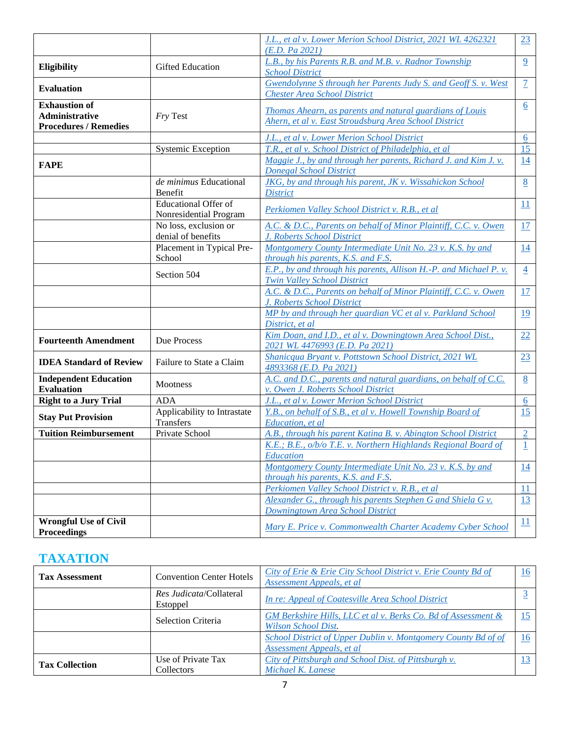|                                               |                                                       | J.L., et al v. Lower Merion School District, 2021 WL 4262321<br>(E.D. Pa 2021)                               | 23              |
|-----------------------------------------------|-------------------------------------------------------|--------------------------------------------------------------------------------------------------------------|-----------------|
| Eligibility                                   | <b>Gifted Education</b>                               | L.B., by his Parents R.B. and M.B. v. Radnor Township<br><b>School District</b>                              | $\overline{9}$  |
| <b>Evaluation</b>                             |                                                       | <b>Gwendolynne S through her Parents Judy S. and Geoff S. v. West</b><br><b>Chester Area School District</b> | $\overline{1}$  |
| <b>Exhaustion of</b><br><b>Administrative</b> |                                                       | Thomas Ahearn, as parents and natural guardians of Louis                                                     | $\underline{6}$ |
| <b>Procedures / Remedies</b>                  | Fry Test                                              | Ahern, et al v. East Stroudsburg Area School District                                                        |                 |
|                                               |                                                       | J.L., et al v. Lower Merion School District                                                                  | 6               |
|                                               | Systemic Exception                                    | T.R., et al v. School District of Philadelphia, et al                                                        | 15              |
|                                               |                                                       | Maggie J., by and through her parents, Richard J. and Kim J. v.                                              | 14              |
| <b>FAPE</b>                                   |                                                       | <b>Donegal School District</b>                                                                               |                 |
|                                               | de minimus Educational                                | JKG, by and through his parent, JK v. Wissahickon School                                                     | 8               |
|                                               | Benefit                                               | <b>District</b>                                                                                              |                 |
|                                               |                                                       |                                                                                                              |                 |
|                                               | <b>Educational Offer of</b><br>Nonresidential Program | Perkiomen Valley School District v. R.B., et al                                                              | 11              |
|                                               | No loss, exclusion or                                 | A.C. & D.C., Parents on behalf of Minor Plaintiff, C.C. v. Owen                                              | 17              |
|                                               |                                                       |                                                                                                              |                 |
|                                               | denial of benefits                                    | J. Roberts School District                                                                                   |                 |
|                                               | Placement in Typical Pre-                             | Montgomery County Intermediate Unit No. 23 v. K.S. by and                                                    | 14              |
|                                               | School                                                | through his parents, K.S. and F.S.                                                                           |                 |
|                                               | Section 504                                           | E.P., by and through his parents, Allison H.-P. and Michael P. v.<br><b>Twin Valley School District</b>      | $\overline{4}$  |
|                                               |                                                       | A.C. & D.C., Parents on behalf of Minor Plaintiff, C.C. v. Owen                                              | 17              |
|                                               |                                                       | J. Roberts School District                                                                                   |                 |
|                                               |                                                       | MP by and through her guardian VC et al v. Parkland School                                                   | 19              |
|                                               |                                                       | District, et al                                                                                              |                 |
| <b>Fourteenth Amendment</b>                   | Due Process                                           | Kim Doan, and I.D., et al v. Downingtown Area School Dist.,                                                  | 22              |
|                                               |                                                       | 2021 WL 4476993 (E.D. Pa 2021)                                                                               |                 |
| <b>IDEA Standard of Review</b>                | Failure to State a Claim                              | Shanicqua Bryant v. Pottstown School District, 2021 WL                                                       | 23              |
|                                               |                                                       | 4893368 (E.D. Pa 2021)                                                                                       |                 |
| <b>Independent Education</b>                  | <b>Mootness</b>                                       | A.C. and D.C., parents and natural guardians, on behalf of C.C.                                              | 8               |
| <b>Evaluation</b>                             |                                                       | v. Owen J. Roberts School District                                                                           |                 |
| <b>Right to a Jury Trial</b>                  | <b>ADA</b>                                            | J.L., et al v. Lower Merion School District                                                                  | 6               |
|                                               | Applicability to Intrastate                           | Y.B., on behalf of S.B., et al v. Howell Township Board of                                                   | 15              |
| <b>Stay Put Provision</b>                     | Transfers                                             | Education, et al                                                                                             |                 |
| <b>Tuition Reimbursement</b>                  | Private School                                        | A.B., through his parent Katina B. v. Abington School District                                               | $\overline{2}$  |
|                                               |                                                       | K.E.; B.E., o/b/o T.E. v. Northern Highlands Regional Board of                                               |                 |
|                                               |                                                       | Education                                                                                                    |                 |
|                                               |                                                       | Montgomery County Intermediate Unit No. 23 v. K.S. by and                                                    | 14              |
|                                               |                                                       | through his parents, K.S. and F.S.                                                                           |                 |
|                                               |                                                       | Perkiomen Valley School District v. R.B., et al.                                                             | 11              |
|                                               |                                                       | Alexander G., through his parents Stephen G and Shiela G v.                                                  | <u>13</u>       |
|                                               |                                                       | Downingtown Area School District                                                                             |                 |
| <b>Wrongful Use of Civil</b>                  |                                                       |                                                                                                              | 11              |
| <b>Proceedings</b>                            |                                                       | Mary E. Price v. Commonwealth Charter Academy Cyber School                                                   |                 |

## **TAXATION**

| <b>Tax Assessment</b> | <b>Convention Center Hotels</b>     | City of Erie & Erie City School District v. Erie County Bd of<br>Assessment Appeals, et al             | 16 |
|-----------------------|-------------------------------------|--------------------------------------------------------------------------------------------------------|----|
|                       | Res.Judicata/Collateral<br>Estoppel | In re: Appeal of Coatesville Area School District                                                      |    |
|                       | Selection Criteria                  | <b>GM Berkshire Hills, LLC et al v. Berks Co. Bd of Assessment &amp;</b><br><b>Wilson School Dist.</b> |    |
|                       |                                     | School District of Upper Dublin v. Montgomery County Bd of of<br>Assessment Appeals, et al.            | 16 |
| <b>Tax Collection</b> | Use of Private Tax<br>Collectors    | City of Pittsburgh and School Dist. of Pittsburgh v.<br>Michael K. Lanese                              |    |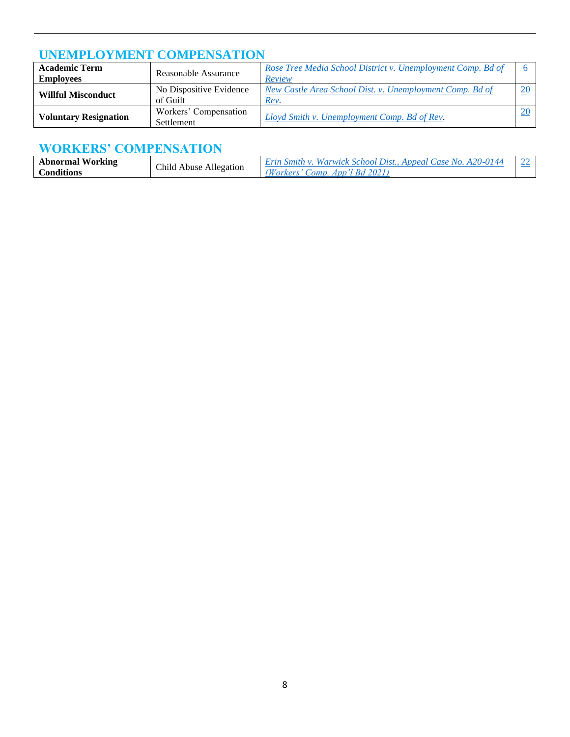## **UNEMPLOYMENT COMPENSATION**

| <b>Academic Term</b><br><b>Employees</b> | Reasonable Assurance                | Rose Tree Media School District v. Unemployment Comp. Bd of<br>Review |  |
|------------------------------------------|-------------------------------------|-----------------------------------------------------------------------|--|
| <b>Willful Misconduct</b>                | No Dispositive Evidence<br>of Guilt | New Castle Area School Dist. v. Unemployment Comp. Bd of<br>Rev.      |  |
| <b>Voluntary Resignation</b>             | Workers' Compensation<br>Settlement | Lloyd Smith v. Unemployment Comp. Bd of Rev.                          |  |

## **WORKERS' COMPENSATION**

| <b>Abnormal Working</b> | Child<br>Allegation<br>Abuse | Smith v. Warwick School Dist., Appeal Case No. A20-0144 |  |
|-------------------------|------------------------------|---------------------------------------------------------|--|
| $\cap$ onditions        |                              | Comp. App'l Bd 2021)<br>/orkers*                        |  |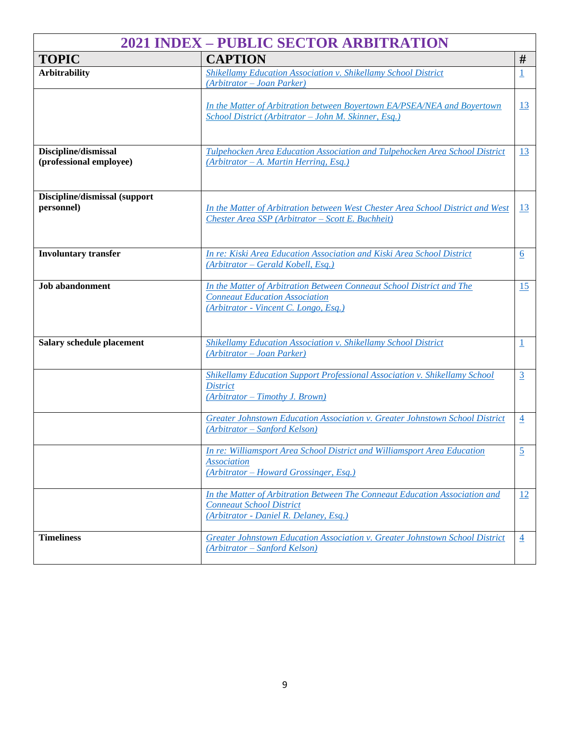| <b>2021 INDEX - PUBLIC SECTOR ARBITRATION</b> |                                                                                                                                                          |                         |  |  |
|-----------------------------------------------|----------------------------------------------------------------------------------------------------------------------------------------------------------|-------------------------|--|--|
| <b>TOPIC</b>                                  | <b>CAPTION</b>                                                                                                                                           | #                       |  |  |
| <b>Arbitrability</b>                          | <b>Shikellamy Education Association v. Shikellamy School District</b><br>(Arbitrator - Joan Parker)                                                      | $\overline{\mathbf{1}}$ |  |  |
|                                               | In the Matter of Arbitration between Boyertown EA/PSEA/NEA and Boyertown<br>School District (Arbitrator - John M. Skinner, Esq.)                         | 13                      |  |  |
| Discipline/dismissal                          | Tulpehocken Area Education Association and Tulpehocken Area School District                                                                              | <u>13</u>               |  |  |
| (professional employee)                       | $(Arbitrator - A. Martin Herring, Esq.)$                                                                                                                 |                         |  |  |
| Discipline/dismissal (support<br>personnel)   | In the Matter of Arbitration between West Chester Area School District and West<br>Chester Area SSP (Arbitrator - Scott E. Buchheit)                     | 13                      |  |  |
| <b>Involuntary transfer</b>                   | In re: Kiski Area Education Association and Kiski Area School District<br>(Arbitrator – Gerald Kobell, Esq.)                                             | $6 \overline{6}$        |  |  |
| <b>Job</b> abandonment                        | In the Matter of Arbitration Between Conneaut School District and The<br><b>Conneaut Education Association</b><br>(Arbitrator - Vincent C. Longo, Esq.)  | 15                      |  |  |
| Salary schedule placement                     | Shikellamy Education Association v. Shikellamy School District<br>(Arbitrator - Joan Parker)                                                             | $\overline{1}$          |  |  |
|                                               | Shikellamy Education Support Professional Association v. Shikellamy School<br><b>District</b><br>(Arbitrator - Timothy J. Brown)                         | $\overline{3}$          |  |  |
|                                               | Greater Johnstown Education Association v. Greater Johnstown School District<br>(Arbitrator – Sanford Kelson)                                            | $\overline{4}$          |  |  |
|                                               | In re: Williamsport Area School District and Williamsport Area Education<br><b>Association</b><br>$(Arbitrator - Howard Grossinger, Esq.)$               | $\overline{2}$          |  |  |
|                                               | In the Matter of Arbitration Between The Conneaut Education Association and<br><b>Conneaut School District</b><br>(Arbitrator - Daniel R. Delaney, Esq.) | 12                      |  |  |
| <b>Timeliness</b>                             | Greater Johnstown Education Association v. Greater Johnstown School District<br>(Arbitrator – Sanford Kelson)                                            | $\overline{4}$          |  |  |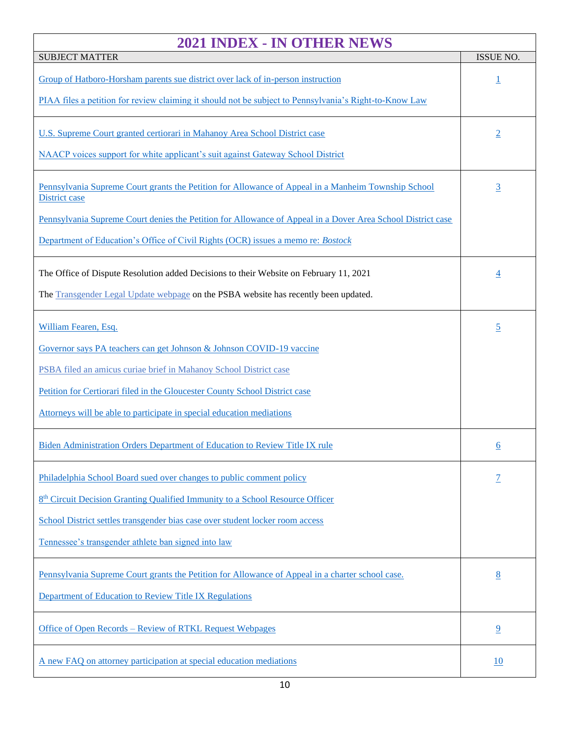| 2021 INDEX - IN OTHER NEWS                                                                                                  |                |  |
|-----------------------------------------------------------------------------------------------------------------------------|----------------|--|
| <b>SUBJECT MATTER</b>                                                                                                       |                |  |
| Group of Hatboro-Horsham parents sue district over lack of in-person instruction                                            | <u>1</u>       |  |
| PIAA files a petition for review claiming it should not be subject to Pennsylvania's Right-to-Know Law                      |                |  |
| U.S. Supreme Court granted certiorari in Mahanoy Area School District case                                                  | $\overline{2}$ |  |
| NAACP voices support for white applicant's suit against Gateway School District                                             |                |  |
| Pennsylvania Supreme Court grants the Petition for Allowance of Appeal in a Manheim Township School<br><b>District case</b> | $\overline{3}$ |  |
| Pennsylvania Supreme Court denies the Petition for Allowance of Appeal in a Dover Area School District case                 |                |  |
| Department of Education's Office of Civil Rights (OCR) issues a memo re: <i>Bostock</i>                                     |                |  |
| The Office of Dispute Resolution added Decisions to their Website on February 11, 2021                                      | $\overline{4}$ |  |
| The Transgender Legal Update webpage on the PSBA website has recently been updated.                                         |                |  |
| William Fearen, Esq.                                                                                                        | $\overline{2}$ |  |
| Governor says PA teachers can get Johnson & Johnson COVID-19 vaccine                                                        |                |  |
| PSBA filed an amicus curiae brief in Mahanoy School District case                                                           |                |  |
| Petition for Certiorari filed in the Gloucester County School District case                                                 |                |  |
| Attorneys will be able to participate in special education mediations                                                       |                |  |
| Biden Administration Orders Department of Education to Review Title IX rule                                                 | 6              |  |
| Philadelphia School Board sued over changes to public comment policy                                                        | Z              |  |
| 8 <sup>th</sup> Circuit Decision Granting Qualified Immunity to a School Resource Officer                                   |                |  |
| School District settles transgender bias case over student locker room access                                               |                |  |
| Tennessee's transgender athlete ban signed into law                                                                         |                |  |
| Pennsylvania Supreme Court grants the Petition for Allowance of Appeal in a charter school case.                            | 8              |  |
| Department of Education to Review Title IX Regulations                                                                      |                |  |
| Office of Open Records – Review of RTKL Request Webpages                                                                    | $\overline{6}$ |  |
| A new FAQ on attorney participation at special education mediations                                                         | 10             |  |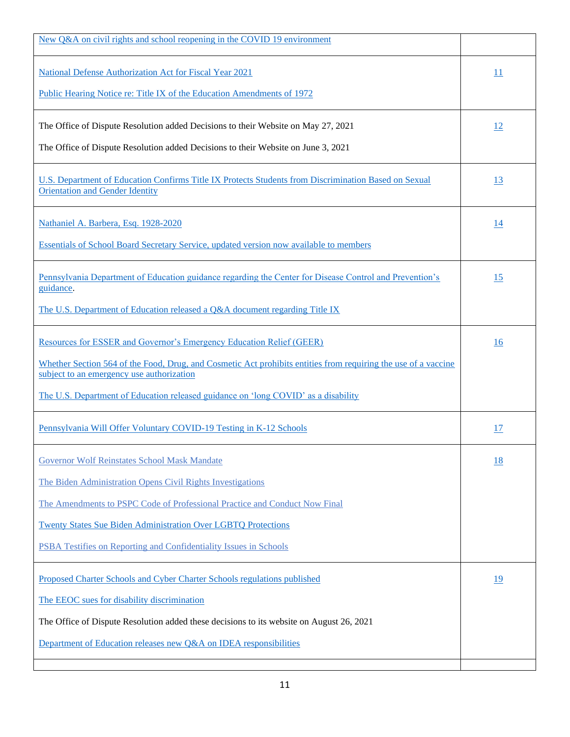| New Q&A on civil rights and school reopening in the COVID 19 environment                                                                                    |                 |
|-------------------------------------------------------------------------------------------------------------------------------------------------------------|-----------------|
| <b>National Defense Authorization Act for Fiscal Year 2021</b>                                                                                              | $\overline{11}$ |
| <b>Public Hearing Notice re: Title IX of the Education Amendments of 1972</b>                                                                               |                 |
| The Office of Dispute Resolution added Decisions to their Website on May 27, 2021                                                                           | 12              |
| The Office of Dispute Resolution added Decisions to their Website on June 3, 2021                                                                           |                 |
| U.S. Department of Education Confirms Title IX Protects Students from Discrimination Based on Sexual<br><b>Orientation and Gender Identity</b>              |                 |
| Nathaniel A. Barbera, Esq. 1928-2020                                                                                                                        | <u>14</u>       |
| Essentials of School Board Secretary Service, updated version now available to members                                                                      |                 |
| Pennsylvania Department of Education guidance regarding the Center for Disease Control and Prevention's<br>guidance.                                        | 15              |
| The U.S. Department of Education released a Q&A document regarding Title IX                                                                                 |                 |
| <b>Resources for ESSER and Governor's Emergency Education Relief (GEER)</b>                                                                                 | 16              |
| Whether Section 564 of the Food, Drug, and Cosmetic Act prohibits entities from requiring the use of a vaccine<br>subject to an emergency use authorization |                 |
| The U.S. Department of Education released guidance on 'long COVID' as a disability                                                                          |                 |
| Pennsylvania Will Offer Voluntary COVID-19 Testing in K-12 Schools                                                                                          | 17              |
| <b>Governor Wolf Reinstates School Mask Mandate</b>                                                                                                         | 18              |
| The Biden Administration Opens Civil Rights Investigations                                                                                                  |                 |
| The Amendments to PSPC Code of Professional Practice and Conduct Now Final                                                                                  |                 |
| <b>Twenty States Sue Biden Administration Over LGBTQ Protections</b>                                                                                        |                 |
| PSBA Testifies on Reporting and Confidentiality Issues in Schools                                                                                           |                 |
| Proposed Charter Schools and Cyber Charter Schools regulations published                                                                                    | <u>19</u>       |
| The EEOC sues for disability discrimination                                                                                                                 |                 |
| The Office of Dispute Resolution added these decisions to its website on August 26, 2021                                                                    |                 |
| Department of Education releases new Q&A on IDEA responsibilities                                                                                           |                 |
|                                                                                                                                                             |                 |